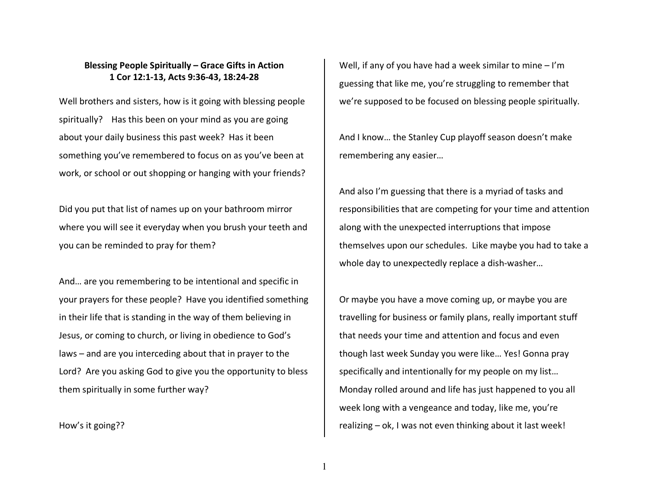## **Blessing People Spiritually – Grace Gifts in Action1 Cor 12:1-13, Acts 9:36-43, 18:24-28**

Well brothers and sisters, how is it going with blessing people spiritually? Has this been on your mind as you are going about your daily business this past week? Has it been something you've remembered to focus on as you've been at work, or school or out shopping or hanging with your friends?

Did you put that list of names up on your bathroom mirror where you will see it everyday when you brush your teeth and you can be reminded to pray for them?

And… are you remembering to be intentional and specific in your prayers for these people? Have you identified something in their life that is standing in the way of them believing in Jesus, or coming to church, or living in obedience to God's laws – and are you interceding about that in prayer to the Lord? Are you asking God to give you the opportunity to bless them spiritually in some further way?

How's it going??

Well, if any of you have had a week similar to mine – I'm guessing that like me, you're struggling to remember that we're supposed to be focused on blessing people spiritually.

And I know… the Stanley Cup playoff season doesn't make remembering any easier…

And also I'm guessing that there is a myriad of tasks and responsibilities that are competing for your time and attention along with the unexpected interruptions that imposethemselves upon our schedules. Like maybe you had to take a whole day to unexpectedly replace a dish-washer…

Or maybe you have a move coming up, or maybe you are travelling for business or family plans, really important stuff that needs your time and attention and focus and even though last week Sunday you were like… Yes! Gonna pray specifically and intentionally for my people on my list… Monday rolled around and life has just happened to you all week long with a vengeance and today, like me, you're realizing – ok, I was not even thinking about it last week!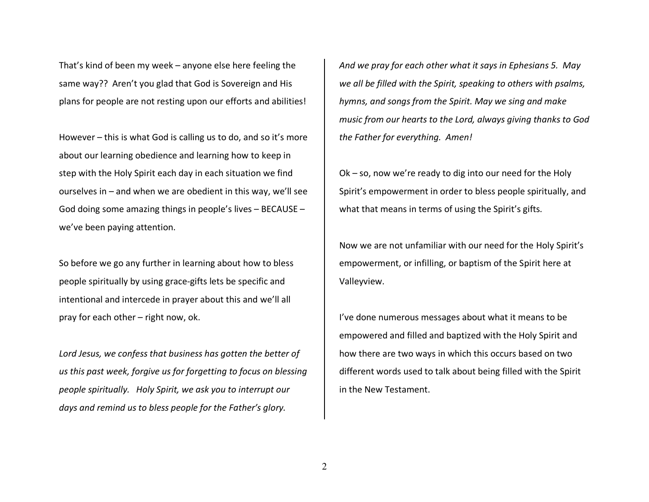That's kind of been my week – anyone else here feeling the same way?? Aren't you glad that God is Sovereign and His plans for people are not resting upon our efforts and abilities!

However – this is what God is calling us to do, and so it's more about our learning obedience and learning how to keep in step with the Holy Spirit each day in each situation we find ourselves in – and when we are obedient in this way, we'll see God doing some amazing things in people's lives – BECAUSE – we've been paying attention.

So before we go any further in learning about how to bless people spiritually by using grace-gifts lets be specific and intentional and intercede in prayer about this and we'll all pray for each other – right now, ok.

*Lord Jesus, we confess that business has gotten the better of us this past week, forgive us for forgetting to focus on blessing people spiritually. Holy Spirit, we ask you to interrupt our days and remind us to bless people for the Father's glory.* 

*And we pray for each other what it says in Ephesians 5. May we all be filled with the Spirit, speaking to others with psalms, hymns, and songs from the Spirit. May we sing and make music from our hearts to the Lord, always giving thanks to God the Father for everything. Amen!* 

Ok – so, now we're ready to dig into our need for the Holy Spirit's empowerment in order to bless people spiritually, and what that means in terms of using the Spirit's gifts.

Now we are not unfamiliar with our need for the Holy Spirit's empowerment, or infilling, or baptism of the Spirit here at Valleyview.

I've done numerous messages about what it means to be empowered and filled and baptized with the Holy Spirit and how there are two ways in which this occurs based on two different words used to talk about being filled with the Spirit in the New Testament.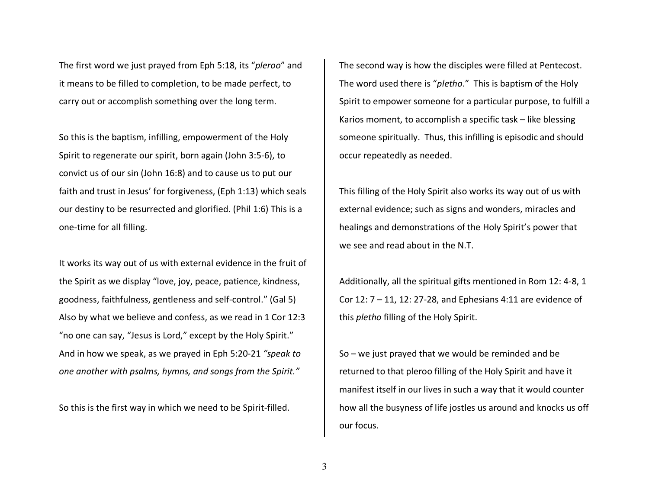The first word we just prayed from Eph 5:18, its "*pleroo*" and it means to be filled to completion, to be made perfect, to carry out or accomplish something over the long term.

So this is the baptism, infilling, empowerment of the Holy Spirit to regenerate our spirit, born again (John 3:5-6), to convict us of our sin (John 16:8) and to cause us to put our faith and trust in Jesus' for forgiveness, (Eph 1:13) which seals our destiny to be resurrected and glorified. (Phil 1:6) This is a one-time for all filling.

It works its way out of us with external evidence in the fruit of the Spirit as we display "love, joy, peace, patience, kindness, goodness, faithfulness, gentleness and self-control." (Gal 5) Also by what we believe and confess, as we read in 1 Cor 12:3 "no one can say, "Jesus is Lord," except by the Holy Spirit." And in how we speak, as we prayed in Eph 5:20-21 *"speak to one another with psalms, hymns, and songs from the Spirit."*

So this is the first way in which we need to be Spirit-filled.

The second way is how the disciples were filled at Pentecost. The word used there is "*pletho*." This is baptism of the Holy Spirit to empower someone for a particular purpose, to fulfill a Karios moment, to accomplish a specific task – like blessing someone spiritually. Thus, this infilling is episodic and should occur repeatedly as needed.

This filling of the Holy Spirit also works its way out of us with external evidence; such as signs and wonders, miracles and healings and demonstrations of the Holy Spirit's power that we see and read about in the N.T.

Additionally, all the spiritual gifts mentioned in Rom 12: 4-8, 1 Cor 12: 7 – 11, 12: 27-28, and Ephesians 4:11 are evidence of this *pletho* filling of the Holy Spirit.

So – we just prayed that we would be reminded and be returned to that pleroo filling of the Holy Spirit and have it manifest itself in our lives in such a way that it would counter how all the busyness of life jostles us around and knocks us off our focus.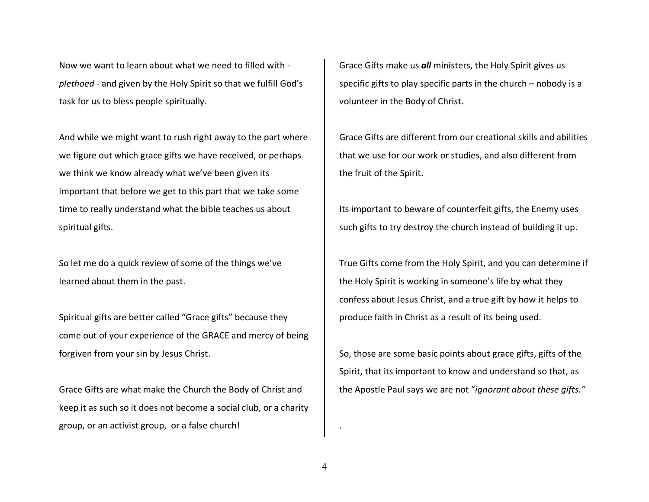Now we want to learn about what we need to filled with *plethoed* - and given by the Holy Spirit so that we fulfill God's task for us to bless people spiritually.

And while we might want to rush right away to the part where we figure out which grace gifts we have received, or perhaps we think we know already what we've been given its important that before we get to this part that we take some time to really understand what the bible teaches us about spiritual gifts.

So let me do a quick review of some of the things we've learned about them in the past.

Spiritual gifts are better called "Grace gifts" because they come out of your experience of the GRACE and mercy of being forgiven from your sin by Jesus Christ.

Grace Gifts are what make the Church the Body of Christ and keep it as such so it does not become a social club, or a charity group, or an activist group, or a false church!

Grace Gifts make us *all* ministers, the Holy Spirit gives us specific gifts to play specific parts in the church – nobody is a volunteer in the Body of Christ.

Grace Gifts are different from our creational skills and abilities that we use for our work or studies, and also different from the fruit of the Spirit.

Its important to beware of counterfeit gifts, the Enemy uses such gifts to try destroy the church instead of building it up.

True Gifts come from the Holy Spirit, and you can determine if the Holy Spirit is working in someone's life by what they confess about Jesus Christ, and a true gift by how it helps to produce faith in Christ as a result of its being used.

So, those are some basic points about grace gifts, gifts of the Spirit, that its important to know and understand so that, as the Apostle Paul says we are not "*ignorant about these gifts."* 

.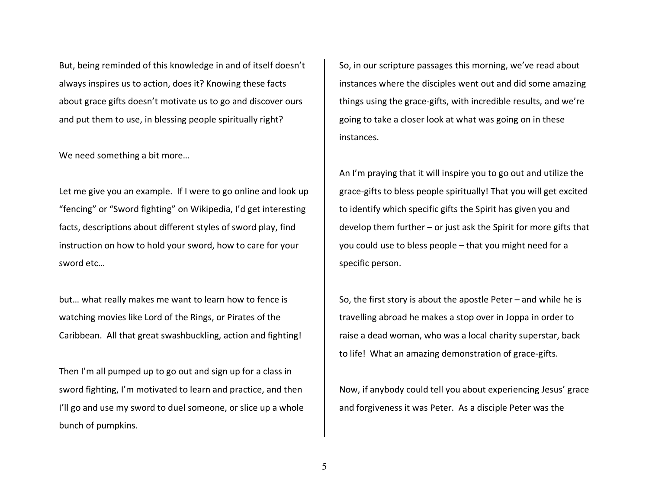But, being reminded of this knowledge in and of itself doesn't always inspires us to action, does it? Knowing these facts about grace gifts doesn't motivate us to go and discover ours and put them to use, in blessing people spiritually right?

We need something a bit more…

Let me give you an example. If I were to go online and look up "fencing" or "Sword fighting" on Wikipedia, I'd get interesting facts, descriptions about different styles of sword play, find instruction on how to hold your sword, how to care for your sword etc…

but… what really makes me want to learn how to fence is watching movies like Lord of the Rings, or Pirates of the Caribbean. All that great swashbuckling, action and fighting!

Then I'm all pumped up to go out and sign up for a class in sword fighting, I'm motivated to learn and practice, and then I'll go and use my sword to duel someone, or slice up a whole bunch of pumpkins.

So, in our scripture passages this morning, we've read about instances where the disciples went out and did some amazing things using the grace-gifts, with incredible results, and we're going to take a closer look at what was going on in these instances.

An I'm praying that it will inspire you to go out and utilize the grace-gifts to bless people spiritually! That you will get excited to identify which specific gifts the Spirit has given you and develop them further – or just ask the Spirit for more gifts that you could use to bless people – that you might need for a specific person.

So, the first story is about the apostle Peter  $-$  and while he is travelling abroad he makes a stop over in Joppa in order to raise a dead woman, who was a local charity superstar, back to life! What an amazing demonstration of grace-gifts.

Now, if anybody could tell you about experiencing Jesus' grace and forgiveness it was Peter. As a disciple Peter was the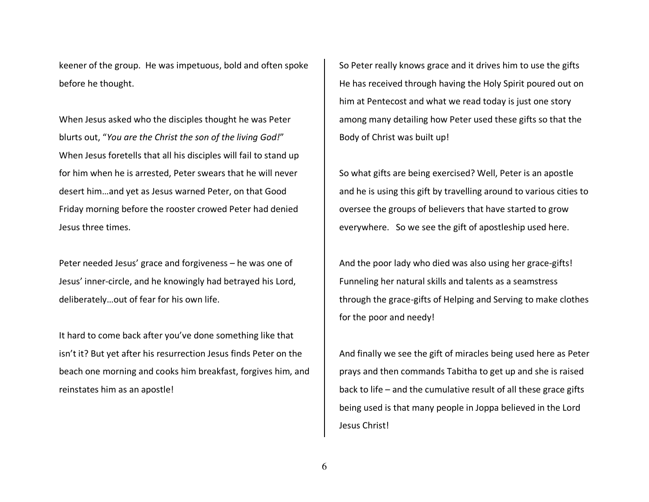keener of the group. He was impetuous, bold and often spoke before he thought.

When Jesus asked who the disciples thought he was Peter blurts out, "*You are the Christ the son of the living God!*" When Jesus foretells that all his disciples will fail to stand up for him when he is arrested, Peter swears that he will never desert him…and yet as Jesus warned Peter, on that Good Friday morning before the rooster crowed Peter had denied Jesus three times.

Peter needed Jesus' grace and forgiveness – he was one of Jesus' inner-circle, and he knowingly had betrayed his Lord, deliberately…out of fear for his own life.

It hard to come back after you've done something like that isn't it? But yet after his resurrection Jesus finds Peter on the beach one morning and cooks him breakfast, forgives him, and reinstates him as an apostle!

So Peter really knows grace and it drives him to use the gifts He has received through having the Holy Spirit poured out on him at Pentecost and what we read today is just one story among many detailing how Peter used these gifts so that the Body of Christ was built up!

So what gifts are being exercised? Well, Peter is an apostle and he is using this gift by travelling around to various cities to oversee the groups of believers that have started to grow everywhere. So we see the gift of apostleship used here.

And the poor lady who died was also using her grace-gifts! Funneling her natural skills and talents as a seamstress through the grace-gifts of Helping and Serving to make clothes for the poor and needy!

And finally we see the gift of miracles being used here as Peter prays and then commands Tabitha to get up and she is raised back to life – and the cumulative result of all these grace gifts being used is that many people in Joppa believed in the Lord Jesus Christ!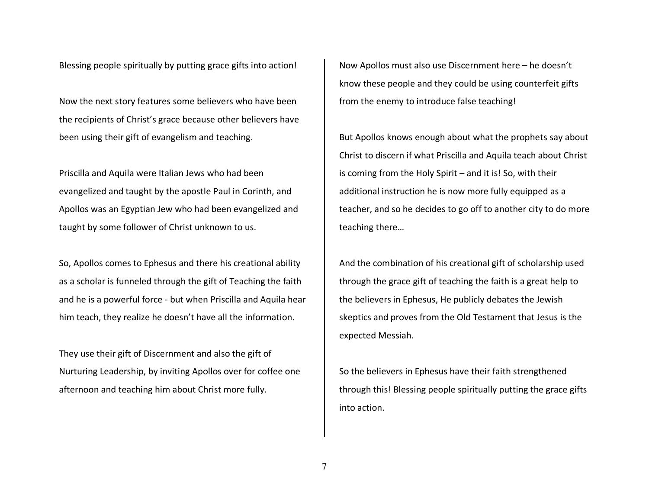Blessing people spiritually by putting grace gifts into action!

Now the next story features some believers who have been the recipients of Christ's grace because other believers have been using their gift of evangelism and teaching.

Priscilla and Aquila were Italian Jews who had beenevangelized and taught by the apostle Paul in Corinth, and Apollos was an Egyptian Jew who had been evangelized and taught by some follower of Christ unknown to us.

So, Apollos comes to Ephesus and there his creational ability as a scholar is funneled through the gift of Teaching the faith and he is a powerful force - but when Priscilla and Aquila hear him teach, they realize he doesn't have all the information.

They use their gift of Discernment and also the gift of Nurturing Leadership, by inviting Apollos over for coffee one afternoon and teaching him about Christ more fully.

Now Apollos must also use Discernment here – he doesn't know these people and they could be using counterfeit gifts from the enemy to introduce false teaching!

But Apollos knows enough about what the prophets say about Christ to discern if what Priscilla and Aquila teach about Christ is coming from the Holy Spirit – and it is! So, with their additional instruction he is now more fully equipped as a teacher, and so he decides to go off to another city to do more teaching there…

And the combination of his creational gift of scholarship used through the grace gift of teaching the faith is a great help to the believers in Ephesus, He publicly debates the Jewish skeptics and proves from the Old Testament that Jesus is the expected Messiah.

So the believers in Ephesus have their faith strengthened through this! Blessing people spiritually putting the grace gifts into action.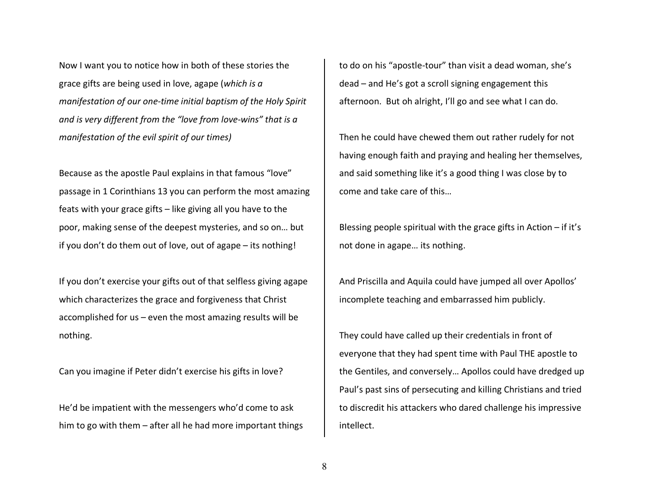Now I want you to notice how in both of these stories the grace gifts are being used in love, agape (*which is a manifestation of our one-time initial baptism of the Holy Spirit and is very different from the "love from love-wins" that is a manifestation of the evil spirit of our times)*

Because as the apostle Paul explains in that famous "love" passage in 1 Corinthians 13 you can perform the most amazing feats with your grace gifts – like giving all you have to the poor, making sense of the deepest mysteries, and so on… but if you don't do them out of love, out of agape – its nothing!

If you don't exercise your gifts out of that selfless giving agape which characterizes the grace and forgiveness that Christ accomplished for us – even the most amazing results will be nothing.

Can you imagine if Peter didn't exercise his gifts in love?

He'd be impatient with the messengers who'd come to ask him to go with them – after all he had more important things to do on his "apostle-tour" than visit a dead woman, she's dead – and He's got a scroll signing engagement this afternoon. But oh alright, I'll go and see what I can do.

Then he could have chewed them out rather rudely for not having enough faith and praying and healing her themselves, and said something like it's a good thing I was close by to come and take care of this…

Blessing people spiritual with the grace gifts in Action – if it's not done in agape… its nothing.

And Priscilla and Aquila could have jumped all over Apollos' incomplete teaching and embarrassed him publicly.

They could have called up their credentials in front of everyone that they had spent time with Paul THE apostle to the Gentiles, and conversely… Apollos could have dredged up Paul's past sins of persecuting and killing Christians and tried to discredit his attackers who dared challenge his impressive intellect.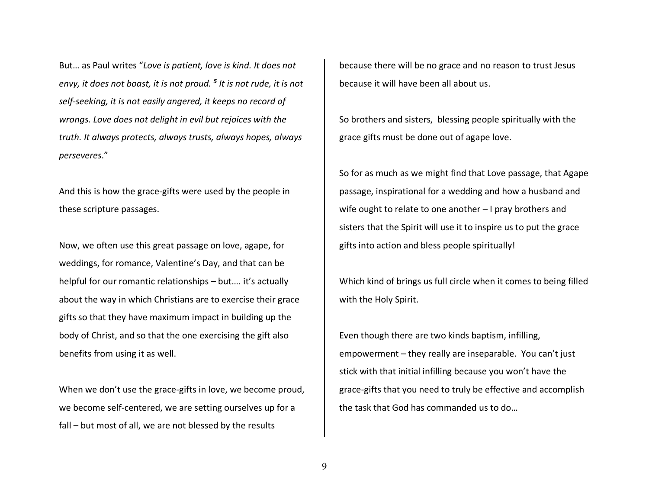But… as Paul writes "*Love is patient, love is kind. It does not envy, it does not boast, it is not proud. 5 It is not rude, it is not self-seeking, it is not easily angered, it keeps no record of wrongs. Love does not delight in evil but rejoices with the truth. It always protects, always trusts, always hopes, always perseveres*."

And this is how the grace-gifts were used by the people in these scripture passages.

Now, we often use this great passage on love, agape, for weddings, for romance, Valentine's Day, and that can be helpful for our romantic relationships – but.... it's actually about the way in which Christians are to exercise their grace gifts so that they have maximum impact in building up the body of Christ, and so that the one exercising the gift also benefits from using it as well.

When we don't use the grace-gifts in love, we become proud, we become self-centered, we are setting ourselves up for a fall – but most of all, we are not blessed by the results

because there will be no grace and no reason to trust Jesus because it will have been all about us.

So brothers and sisters, blessing people spiritually with the grace gifts must be done out of agape love.

So for as much as we might find that Love passage, that Agape passage, inspirational for a wedding and how a husband and wife ought to relate to one another – I pray brothers and sisters that the Spirit will use it to inspire us to put the grace gifts into action and bless people spiritually!

Which kind of brings us full circle when it comes to being filled with the Holy Spirit.

Even though there are two kinds baptism, infilling,empowerment – they really are inseparable. You can't just stick with that initial infilling because you won't have the grace-gifts that you need to truly be effective and accomplish the task that God has commanded us to do…